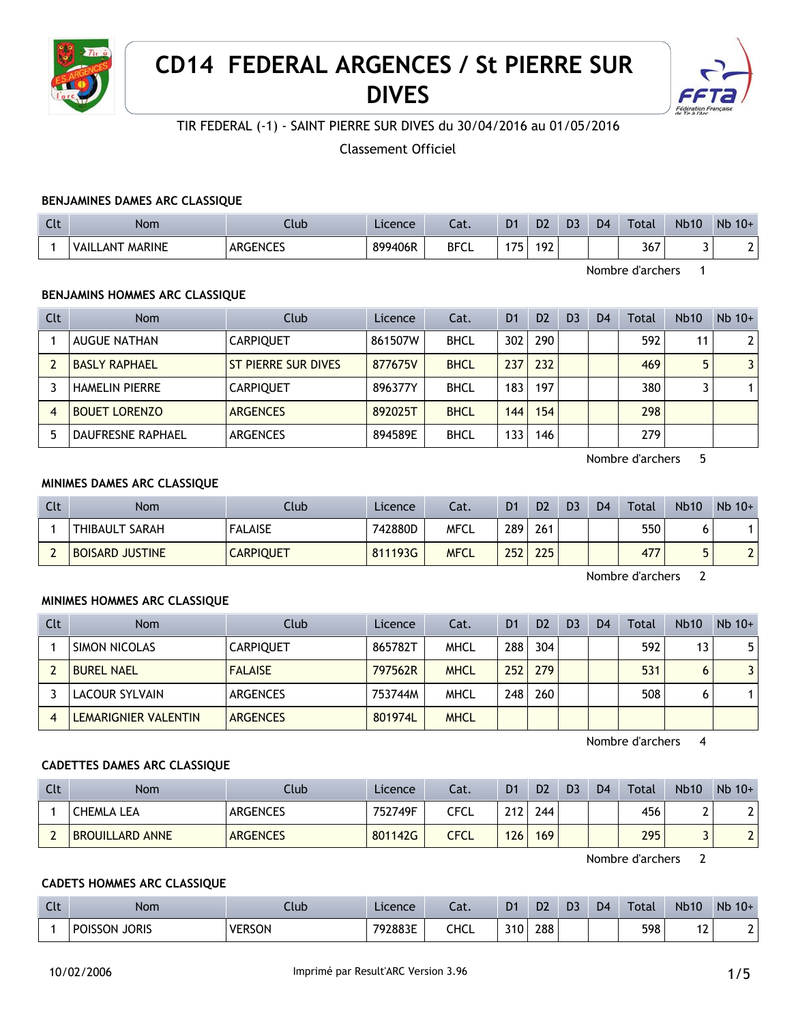

# **CD14 FEDERAL ARGENCES / St PIERRE SUR DIVES**



## TIR FEDERAL (-1) - SAINT PIERRE SUR DIVES du 30/04/2016 au 01/05/2016

Classement Officiel

#### **BENJAMINES DAMES ARC CLASSIQUE**

| $\Gamma$<br>uu | Nom                              | Jub             | Licence | Lat.        | D <sub>1</sub> | D2  | D3 | D <sub>4</sub> | <b>Total</b> | <b>Nb10</b> | <b>N<sub>b</sub></b><br>$10+$ |
|----------------|----------------------------------|-----------------|---------|-------------|----------------|-----|----|----------------|--------------|-------------|-------------------------------|
|                | <b>MARINE</b><br>' VAIL.<br>_ANT | <b>ARGENCES</b> | 899406R | <b>BFCL</b> | 175            | 192 |    |                | 367          |             | -                             |

Nombre d'archers 1

#### **BENJAMINS HOMMES ARC CLASSIQUE**

| Clt | <b>Nom</b>               | Club                | Licence | Cat.        | D <sub>1</sub> | D <sub>2</sub> | D <sub>3</sub> | D <sub>4</sub> | Total | <b>Nb10</b> | $Nb$ 10+       |
|-----|--------------------------|---------------------|---------|-------------|----------------|----------------|----------------|----------------|-------|-------------|----------------|
|     | <b>AUGUE NATHAN</b>      | <b>CARPIOUET</b>    | 861507W | <b>BHCL</b> | 302            | 290            |                |                | 592   | 11          | 2 <sup>1</sup> |
|     | <b>BASLY RAPHAEL</b>     | ST PIERRE SUR DIVES | 877675V | <b>BHCL</b> | 237            | 232            |                |                | 469   | 5           | $\overline{3}$ |
|     | <b>HAMELIN PIERRE</b>    | <b>CARPIOUET</b>    | 896377Y | <b>BHCL</b> | 183            | 197            |                |                | 380   |             |                |
| 4   | <b>BOUET LORENZO</b>     | <b>ARGENCES</b>     | 892025T | <b>BHCL</b> | 144.           | 154            |                |                | 298   |             |                |
|     | <b>DAUFRESNE RAPHAEL</b> | <b>ARGENCES</b>     | 894589E | <b>BHCL</b> | 133            | 146            |                |                | 279   |             |                |

Nombre d'archers 5

#### **MINIMES DAMES ARC CLASSIQUE**

| Clt | Nom                    | Club             | Licence | Cat.        | D <sub>1</sub> | D <sub>2</sub> | D <sub>3</sub> | D <sub>4</sub> | <b>Total</b> | <b>Nb10</b> | $Nb$ 10+ |
|-----|------------------------|------------------|---------|-------------|----------------|----------------|----------------|----------------|--------------|-------------|----------|
|     | I THIBAULT SARAH       | <b>FALAISE</b>   | 742880D | <b>MFCL</b> | 289            | 261            |                |                | 550          |             |          |
|     | <b>BOISARD JUSTINE</b> | <b>CARPIQUET</b> | 811193G | <b>MFCL</b> | 252            | 225            |                |                | 477          |             |          |

Nombre d'archers 2

#### **MINIMES HOMMES ARC CLASSIQUE**

| Clt | <b>Nom</b>            | Club             | Licence | Cat.        | D <sub>1</sub>   | D <sub>2</sub> | D <sub>3</sub> | D <sub>4</sub> | Total | <b>Nb10</b> | $Nb$ 10+ |
|-----|-----------------------|------------------|---------|-------------|------------------|----------------|----------------|----------------|-------|-------------|----------|
|     | SIMON NICOLAS         | <b>CARPIQUET</b> | 865782T | MHCL        | 288              | 304            |                |                | 592   | 13          | 5.       |
|     | <b>BUREL NAEL</b>     | <b>FALAISE</b>   | 797562R | <b>MHCL</b> | 252 <sub>1</sub> | 279            |                |                | 531   | 6           | 3        |
|     | <b>LACOUR SYLVAIN</b> | ARGENCES         | 753744M | <b>MHCL</b> | 248 <sub>1</sub> | 260            |                |                | 508   |             |          |
|     | LEMARIGNIER VALENTIN  | <b>ARGENCES</b>  | 801974L | <b>MHCL</b> |                  |                |                |                |       |             |          |

Nombre d'archers 4

#### **CADETTES DAMES ARC CLASSIQUE**

| Clt | Nom                    | Club            | Licence | Cat. | D <sub>1</sub> | D <sub>2</sub> | D <sub>3</sub> | D <sub>4</sub> | <b>Total</b> | <b>Nb10</b> | $Nb$ 10+                 |
|-----|------------------------|-----------------|---------|------|----------------|----------------|----------------|----------------|--------------|-------------|--------------------------|
|     | <b>CHEMLA LEA</b>      | <b>ARGENCES</b> | 752749F | CFCL | つィつ            | 244            |                |                | 456          | ∸           | າເ                       |
|     | <b>BROUILLARD ANNE</b> | <b>ARGENCES</b> | 801142G | CFCL | 126            | 169            |                |                | 295          |             | $\overline{\phantom{0}}$ |

Nombre d'archers 2

#### **CADETS HOMMES ARC CLASSIQUE**

| Clt | <b>Nom</b>               | Jub           | Licence | $\sim$<br>-aι. | D <sub>1</sub>   | D <sub>2</sub> | D <sub>3</sub> | D <sub>4</sub> | <b>Total</b> | <b>Nb10</b>              | Nb<br>$10+$ |
|-----|--------------------------|---------------|---------|----------------|------------------|----------------|----------------|----------------|--------------|--------------------------|-------------|
|     | <b>JORIS</b><br>POISSON. | <b>VERSON</b> | 792883E | CHCL           | 310 <sub>1</sub> | 288            |                |                | 598          | $\overline{\phantom{a}}$ |             |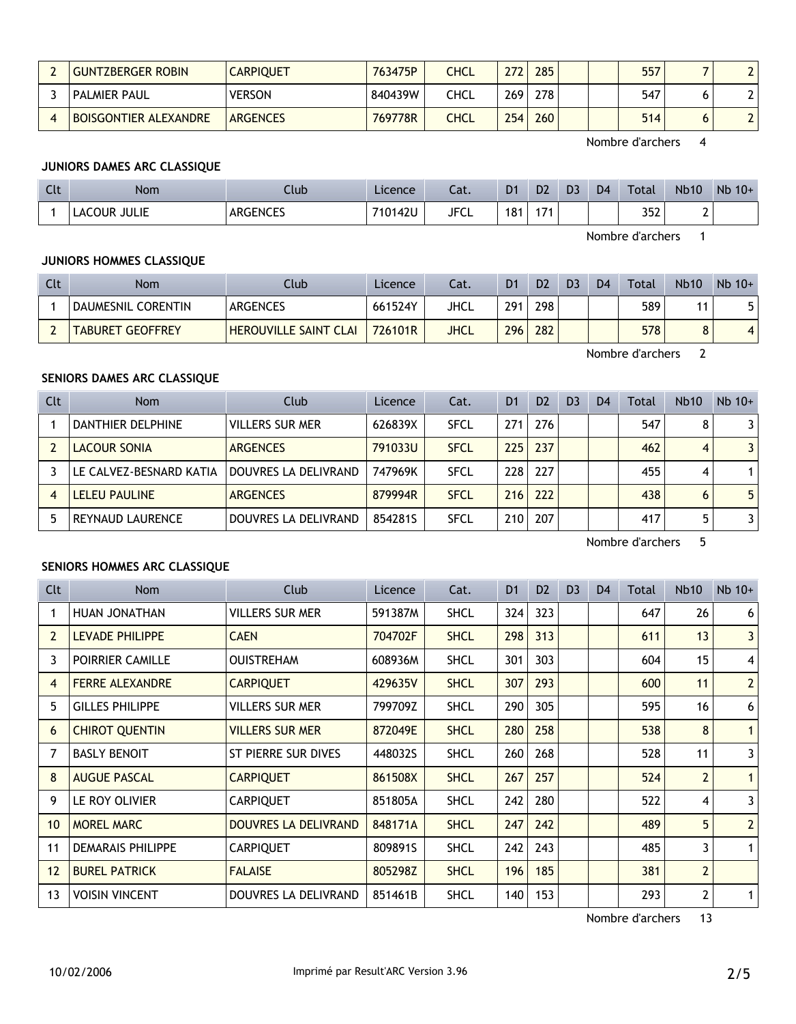| <b>GUNTZBERGER ROBIN</b>     | <b>CARPIQUET</b> | 763475P | CHCL | 272              | 285 | 557 |  |
|------------------------------|------------------|---------|------|------------------|-----|-----|--|
| <b>PALMIER PAUL</b>          | <b>VERSON</b>    | 840439W | CHCL | 269 <sub>1</sub> | 278 | 547 |  |
| <b>BOISGONTIER ALEXANDRE</b> | <b>ARGENCES</b>  | 769778R | CHCL | 254              | 260 | 514 |  |

Nombre d'archers 4

## **JUNIORS DAMES ARC CLASSIQUE**

| $C1+$<br><b>CU.</b> | Nom          | Ilub            | Licence | $-1$<br>cal. | D <sub>1</sub> | D <sub>2</sub> | D <sub>3</sub> | D <sub>4</sub> | Total | <b>Nb10</b> | Nb 10+ |
|---------------------|--------------|-----------------|---------|--------------|----------------|----------------|----------------|----------------|-------|-------------|--------|
|                     | LACOUR JULIE | <b>ARGENCES</b> | 710142U | <b>JFCL</b>  | 181            | $+74$          |                |                | 352   |             |        |

Nombre d'archers 1

## **JUNIORS HOMMES CLASSIQUE**

| Clt | <b>Nom</b>              | Club                         | Licence | Cat. | D <sub>1</sub> | D <sub>2</sub> | D <sub>3</sub> | D <sub>4</sub> | Total | <b>Nb10</b> | $Nb$ 10+ |
|-----|-------------------------|------------------------------|---------|------|----------------|----------------|----------------|----------------|-------|-------------|----------|
|     | DAUMESNIL CORENTIN      | ARGENCES                     | 661524Y | JHCL | 291            | 298            |                |                | 589   |             | J        |
|     | <b>TABURET GEOFFREY</b> | <b>HEROUVILLE SAINT CLAI</b> | 726101R | JHCL | 296            | 282            |                |                | 578   |             | 4        |

Nombre d'archers 2

#### **SENIORS DAMES ARC CLASSIQUE**

| Clt | <b>Nom</b>              | Club                   | Licence | Cat.        | D <sub>1</sub> | D <sub>2</sub> | D <sub>3</sub> | D <sub>4</sub> | Total | <b>Nb10</b> | $Nb$ 10+       |
|-----|-------------------------|------------------------|---------|-------------|----------------|----------------|----------------|----------------|-------|-------------|----------------|
|     | DANTHIER DELPHINE       | <b>VILLERS SUR MER</b> | 626839X | <b>SFCL</b> | 271            | 276            |                |                | 547   | 8           | 31             |
|     | <b>LACOUR SONIA</b>     | <b>ARGENCES</b>        | 791033U | <b>SFCL</b> | 225            | 237            |                |                | 462   | 4           | 3 <sup>1</sup> |
|     | LE CALVEZ-BESNARD KATIA | DOUVRES LA DELIVRAND   | 747969K | <b>SFCL</b> | 228            | 227            |                |                | 455   | 4           | 1 <sup>1</sup> |
|     | <b>LELEU PAULINE</b>    | <b>ARGENCES</b>        | 879994R | <b>SFCL</b> | 216            | 222            |                |                | 438   | 6           | 5 <sup>1</sup> |
|     | <b>REYNAUD LAURENCE</b> | DOUVRES LA DELIVRAND   | 8542815 | <b>SFCL</b> | 210            | 207            |                |                | 417   | 5           | 3 <sup>1</sup> |

Nombre d'archers 5

#### **SENIORS HOMMES ARC CLASSIQUE**

| Clt            | Nom                      | Club                        | Licence | Cat.        | D <sub>1</sub> | D <sub>2</sub> | D <sub>3</sub> | D <sub>4</sub> | Total | <b>Nb10</b>    | $Nb$ 10+       |
|----------------|--------------------------|-----------------------------|---------|-------------|----------------|----------------|----------------|----------------|-------|----------------|----------------|
| 1              | HUAN JONATHAN            | <b>VILLERS SUR MER</b>      | 591387M | <b>SHCL</b> | 324            | 323            |                |                | 647   | 26             | 6 <sup>1</sup> |
| $\overline{2}$ | <b>LEVADE PHILIPPE</b>   | <b>CAEN</b>                 | 704702F | <b>SHCL</b> | 298            | 313            |                |                | 611   | 13             | 3 <sup>1</sup> |
| 3              | POIRRIER CAMILLE         | <b>OUISTREHAM</b>           | 608936M | <b>SHCL</b> | 301            | 303            |                |                | 604   | 15             | $\vert$        |
| 4              | <b>FERRE ALEXANDRE</b>   | <b>CARPIQUET</b>            | 429635V | <b>SHCL</b> | 307            | 293            |                |                | 600   | 11             | 2              |
| 5              | <b>GILLES PHILIPPE</b>   | <b>VILLERS SUR MER</b>      | 799709Z | <b>SHCL</b> | 290            | 305            |                |                | 595   | 16             | 6 <sup>1</sup> |
| 6              | <b>CHIROT QUENTIN</b>    | <b>VILLERS SUR MER</b>      | 872049E | <b>SHCL</b> | 280            | 258            |                |                | 538   | 8              | 1 <sup>1</sup> |
| 7              | <b>BASLY BENOIT</b>      | ST PIERRE SUR DIVES         | 448032S | <b>SHCL</b> | 260            | 268            |                |                | 528   | 11             | $\mathsf{3}$   |
| 8              | <b>AUGUE PASCAL</b>      | <b>CARPIQUET</b>            | 861508X | <b>SHCL</b> | 267            | 257            |                |                | 524   | $\overline{2}$ | 1 <sup>1</sup> |
| 9              | LE ROY OLIVIER           | <b>CARPIQUET</b>            | 851805A | <b>SHCL</b> | 242            | 280            |                |                | 522   | 4              | $\mathsf{3}$   |
| 10             | <b>MOREL MARC</b>        | <b>DOUVRES LA DELIVRAND</b> | 848171A | <b>SHCL</b> | 247            | 242            |                |                | 489   | 5              | 2              |
| 11             | <b>DEMARAIS PHILIPPE</b> | <b>CARPIQUET</b>            | 809891S | <b>SHCL</b> | 242            | 243            |                |                | 485   | 3              | 1 <sup>1</sup> |
| 12             | <b>BUREL PATRICK</b>     | <b>FALAISE</b>              | 805298Z | <b>SHCL</b> | 196            | 185            |                |                | 381   | $\overline{2}$ |                |
| 13             | <b>VOISIN VINCENT</b>    | DOUVRES LA DELIVRAND        | 851461B | <b>SHCL</b> | 140            | 153            |                |                | 293   | $\mathbf{2}$   | 1 <sup>1</sup> |

Nombre d'archers 13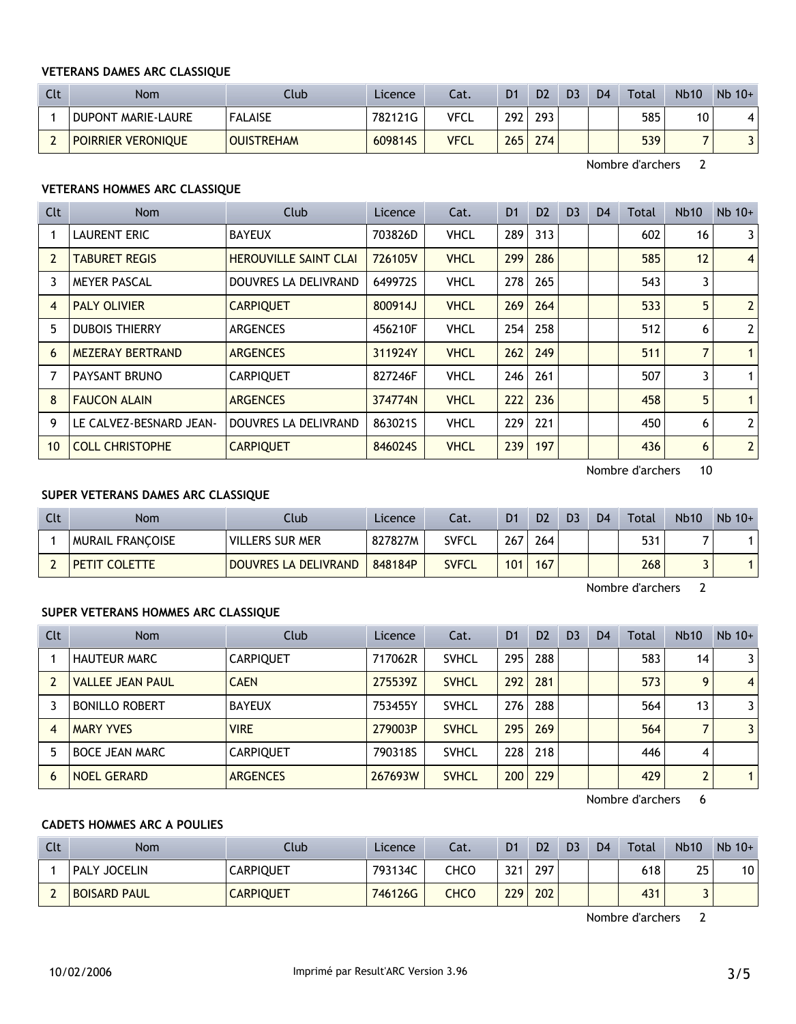#### **VETERANS DAMES ARC CLASSIQUE**

| Clt | Nom                       | Club              | Licence | Cat.        | D <sub>1</sub> | D <sub>2</sub>   | D <sub>3</sub> | D <sub>4</sub> | <b>Total</b> | <b>Nb10</b> | $Nb$ 10+ |
|-----|---------------------------|-------------------|---------|-------------|----------------|------------------|----------------|----------------|--------------|-------------|----------|
|     | DUPONT MARIE-LAURE        | <b>FALAISE</b>    | 782121G | <b>VFCL</b> | 292            | 293.             |                |                | 585          | 10          | 4        |
|     | <b>POIRRIER VERONIQUE</b> | <b>OUISTREHAM</b> | 609814S | <b>VFCL</b> | 265            | 274 <sub>1</sub> |                |                | 539          |             |          |

Nombre d'archers 2

#### **VETERANS HOMMES ARC CLASSIQUE**

| <b>Clt</b>     | <b>Nom</b>              | Club                         | Licence | Cat.        | D <sub>1</sub> | D <sub>2</sub> | D <sub>3</sub> | D <sub>4</sub> | Total | <b>Nb10</b> | $Nb$ 10+       |
|----------------|-------------------------|------------------------------|---------|-------------|----------------|----------------|----------------|----------------|-------|-------------|----------------|
|                | <b>LAURENT ERIC</b>     | <b>BAYEUX</b>                | 703826D | <b>VHCL</b> | 289            | 313            |                |                | 602   | 16          | 3              |
| $\overline{2}$ | <b>TABURET REGIS</b>    | <b>HEROUVILLE SAINT CLAI</b> | 726105V | <b>VHCL</b> | 299            | 286            |                |                | 585   | 12          | $\overline{4}$ |
| 3              | <b>MEYER PASCAL</b>     | DOUVRES LA DELIVRAND         | 649972S | <b>VHCL</b> | 278            | 265            |                |                | 543   | 3           |                |
| 4              | <b>PALY OLIVIER</b>     | <b>CARPIQUET</b>             | 800914J | <b>VHCL</b> | 269            | 264            |                |                | 533   | 5           | $\overline{2}$ |
| 5              | <b>DUBOIS THIERRY</b>   | <b>ARGENCES</b>              | 456210F | <b>VHCL</b> | 254            | 258            |                |                | 512   | 6           | $\overline{2}$ |
| 6              | <b>MEZERAY BERTRAND</b> | <b>ARGENCES</b>              | 311924Y | <b>VHCL</b> | 262            | 249            |                |                | 511   | 7           | $\mathbf{1}$   |
|                | PAYSANT BRUNO           | <b>CARPIQUET</b>             | 827246F | <b>VHCL</b> | 246            | 261            |                |                | 507   | 3           | 1              |
| 8              | <b>FAUCON ALAIN</b>     | <b>ARGENCES</b>              | 374774N | <b>VHCL</b> | 222            | 236            |                |                | 458   | 5           | $\mathbf{1}$   |
| 9              | LE CALVEZ-BESNARD JEAN- | DOUVRES LA DELIVRAND         | 863021S | <b>VHCL</b> | 229            | 221            |                |                | 450   | 6           | $\overline{2}$ |
| 10             | <b>COLL CHRISTOPHE</b>  | <b>CARPIQUET</b>             | 846024S | <b>VHCL</b> | 239            | 197            |                |                | 436   | 6           | $\overline{2}$ |

Nombre d'archers 10

## **SUPER VETERANS DAMES ARC CLASSIQUE**

| Clt | <b>Nom</b>              | Club                        | Licence | Cat.         | D <sub>1</sub> | D <sub>2</sub> | D <sub>3</sub> | D <sub>4</sub> | Total | <b>Nb10</b> | $Nb 10+$ |
|-----|-------------------------|-----------------------------|---------|--------------|----------------|----------------|----------------|----------------|-------|-------------|----------|
|     | <b>MURAIL FRANCOISE</b> | VILLERS SUR MER             | 827827M | <b>SVFCL</b> | 267            | 264            |                |                | 531   |             |          |
|     | <b>PETIT COLETTE</b>    | <b>DOUVRES LA DELIVRAND</b> | 848184P | <b>SVFCL</b> | 101            | 167            |                |                | 268   |             |          |

Nombre d'archers 2

## **SUPER VETERANS HOMMES ARC CLASSIQUE**

| Clt            | Nom                     | Club             | <b>Licence</b> | Cat.         | D <sub>1</sub> | D <sub>2</sub> | D <sub>3</sub> | D <sub>4</sub> | Total | <b>Nb10</b> | $Nb$ 10+       |
|----------------|-------------------------|------------------|----------------|--------------|----------------|----------------|----------------|----------------|-------|-------------|----------------|
|                | <b>HAUTEUR MARC</b>     | <b>CARPIQUET</b> | 717062R        | <b>SVHCL</b> | 295            | 288            |                |                | 583   | 14          | 31             |
|                | <b>VALLEE JEAN PAUL</b> | <b>CAEN</b>      | 275539Z        | <b>SVHCL</b> | 292            | 281            |                |                | 573   | 9           | 4 <sup>1</sup> |
|                | <b>BONILLO ROBERT</b>   | <b>BAYEUX</b>    | 753455Y        | <b>SVHCL</b> | 276            | 288            |                |                | 564   | 13          | 3 <sup>1</sup> |
| $\overline{4}$ | <b>MARY YVES</b>        | <b>VIRE</b>      | 279003P        | <b>SVHCL</b> | 295            | 269            |                |                | 564   |             | $\overline{3}$ |
|                | <b>BOCE JEAN MARC</b>   | <b>CARPIQUET</b> | 790318S        | <b>SVHCL</b> | 228            | 218            |                |                | 446   | 4           |                |
| 6              | <b>NOEL GERARD</b>      | <b>ARGENCES</b>  | 267693W        | <b>SVHCL</b> | 200            | 229            |                |                | 429   | 2           | 1 <sup>1</sup> |

Nombre d'archers 6

#### **CADETS HOMMES ARC A POULIES**

| Clt | Nom                 | Club             | <b>Licence</b> | Cat. | D1               | D <sub>2</sub> | D <sub>3</sub> | D <sub>4</sub> | <b>Total</b> | <b>Nb10</b> | $Nb$ 10+ |
|-----|---------------------|------------------|----------------|------|------------------|----------------|----------------|----------------|--------------|-------------|----------|
|     | PALY JOCELIN        | <b>CARPIQUET</b> | 793134C        | снсо | 321              | 297            |                |                | 618          | 25          | 10       |
|     | <b>BOISARD PAUL</b> | <b>CARPIQUET</b> | 746126G        | снсо | 229 <sub>1</sub> | 202            |                |                | 431          |             |          |

Nombre d'archers 2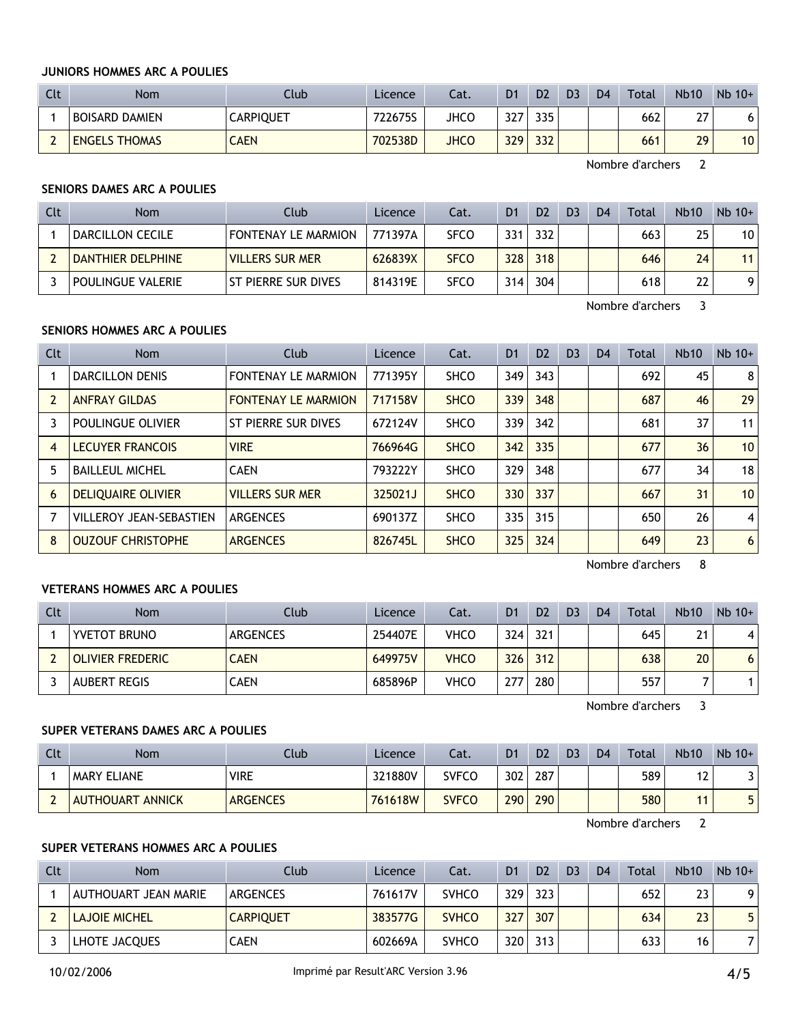## **JUNIORS HOMMES ARC A POULIES**

| <b>Clt</b>               | Nom                  | Club        | Licence | Cat.        | D <sub>1</sub> | D <sub>2</sub> | D <sub>3</sub> | D <sub>4</sub> | <b>Total</b> | <b>Nb10</b>     | $Nb$ 10+ |
|--------------------------|----------------------|-------------|---------|-------------|----------------|----------------|----------------|----------------|--------------|-----------------|----------|
|                          | BOISARD DAMIEN       | CARPIQUET   | 722675S | JHCO        | 327            | 335            |                |                | 662          | 77<br><u> 4</u> |          |
| $\overline{\phantom{0}}$ | <b>ENGELS THOMAS</b> | <b>CAEN</b> | 702538D | <b>JHCO</b> | 329            | 332            |                |                | 661          | 29              | 10       |

Nombre d'archers 2

#### **SENIORS DAMES ARC A POULIES**

| Clt | <b>Nom</b>        | Club                       | Licence | Cat.        | D <sub>1</sub> | D <sub>2</sub> | D <sub>3</sub> | D <sub>4</sub> | Total | <b>Nb10</b> | $Nb$ 10+ |
|-----|-------------------|----------------------------|---------|-------------|----------------|----------------|----------------|----------------|-------|-------------|----------|
|     | DARCILLON CECILE  | <b>FONTENAY LE MARMION</b> | 771397A | <b>SFCO</b> | 331            | 332            |                |                | 663   | 25          | 10       |
|     | DANTHIER DELPHINE | <b>VILLERS SUR MER</b>     | 626839X | <b>SFCO</b> | 328            | 318            |                |                | 646   | 24          | 11       |
|     | POULINGUE VALERIE | ST PIERRE SUR DIVES        | 814319E | <b>SFCO</b> | 314            | 304            |                |                | 618   | 22          | 9.       |

Nombre d'archers 3

#### **SENIORS HOMMES ARC A POULIES**

| Clt            | <b>Nom</b>                     | Club                       | Licence | Cat.        | D <sub>1</sub> | D <sub>2</sub> | D <sub>3</sub> | D <sub>4</sub> | Total | <b>Nb10</b> | $Nb$ 10+        |
|----------------|--------------------------------|----------------------------|---------|-------------|----------------|----------------|----------------|----------------|-------|-------------|-----------------|
|                | <b>DARCILLON DENIS</b>         | <b>FONTENAY LE MARMION</b> | 771395Y | <b>SHCO</b> | 349            | 343            |                |                | 692   | 45          | 8               |
| $\overline{2}$ | <b>ANFRAY GILDAS</b>           | <b>FONTENAY LE MARMION</b> | 717158V | <b>SHCO</b> | 339            | 348            |                |                | 687   | 46          | 29              |
| 3              | POULINGUE OLIVIER              | ST PIERRE SUR DIVES        | 672124V | <b>SHCO</b> | 339            | 342            |                |                | 681   | 37          | 11              |
| $\overline{A}$ | <b>LECUYER FRANCOIS</b>        | <b>VIRE</b>                | 766964G | <b>SHCO</b> | 342            | 335            |                |                | 677   | 36          | 10 <sup>°</sup> |
| 5              | <b>BAILLEUL MICHEL</b>         | <b>CAEN</b>                | 793222Y | <b>SHCO</b> | 329            | 348            |                |                | 677   | 34          | 18              |
| 6              | <b>DELIOUAIRE OLIVIER</b>      | <b>VILLERS SUR MER</b>     | 325021J | <b>SHCO</b> | 330            | 337            |                |                | 667   | 31          | 10 <sup>°</sup> |
|                | <b>VILLEROY JEAN-SEBASTIEN</b> | <b>ARGENCES</b>            | 690137Z | <b>SHCO</b> | 335            | 315            |                |                | 650   | 26          | 4               |
| 8              | <b>OUZOUF CHRISTOPHE</b>       | <b>ARGENCES</b>            | 826745L | <b>SHCO</b> | 325            | 324            |                |                | 649   | 23          | 6               |

Nombre d'archers 8

## **VETERANS HOMMES ARC A POULIES**

| Clt | <b>Nom</b>              | Club            | Licence | Cat.        | D <sub>1</sub> | D <sub>2</sub> | D <sub>3</sub> | D <sub>4</sub> | Total | <b>Nb10</b> | $Nb$ 10+ |
|-----|-------------------------|-----------------|---------|-------------|----------------|----------------|----------------|----------------|-------|-------------|----------|
|     | <b>YVETOT BRUNO</b>     | <b>ARGENCES</b> | 254407E | <b>VHCO</b> | 324            | 321            |                |                | 645   | 21          |          |
|     | <b>OLIVIER FREDERIC</b> | <b>CAEN</b>     | 649975V | <b>VHCO</b> | 326            | 312            |                |                | 638   | 20          | 0        |
|     | <b>AUBERT REGIS</b>     | <b>CAEN</b>     | 685896P | <b>VHCO</b> | 277            | 280            |                |                | 557   |             |          |

Nombre d'archers 3

## **SUPER VETERANS DAMES ARC A POULIES**

| Clt | Nom                | Club            | Licence | Cat.         | D <sub>1</sub> | D <sub>2</sub> | D <sub>3</sub> | D <sub>4</sub> | Total | <b>Nb10</b> | $Nb 10+$ |
|-----|--------------------|-----------------|---------|--------------|----------------|----------------|----------------|----------------|-------|-------------|----------|
|     | <b>MARY ELIANE</b> | <b>VIRE</b>     | 321880V | <b>SVFCO</b> | 302            | 287            |                |                | 589   | 17<br>1 L   |          |
|     | AUTHOUART ANNICK   | <b>ARGENCES</b> | 761618W | <b>SVFCO</b> | 290            | 290            |                |                | 580   | 44          |          |

Nombre d'archers 2

## **SUPER VETERANS HOMMES ARC A POULIES**

| Clt | Nom                  | Club             | Licence | Cat.         | D <sub>1</sub> | D <sub>2</sub> | D <sub>3</sub> | D <sub>4</sub> | Total | <b>Nb10</b> | $Nb$ 10+ |
|-----|----------------------|------------------|---------|--------------|----------------|----------------|----------------|----------------|-------|-------------|----------|
|     | AUTHOUART JEAN MARIE | ARGENCES         | 761617V | <b>SVHCO</b> | 329            | 323            |                |                | 652   | 23          | O        |
|     | <b>LAJOIE MICHEL</b> | <b>CARPIOUET</b> | 383577G | <b>SVHCO</b> | 327            | 307            |                |                | 634   | 23          |          |
|     | LHOTE JACQUES        | CAEN             | 602669A | <b>SVHCO</b> | 320            | 313            |                |                | 633   | 16          |          |